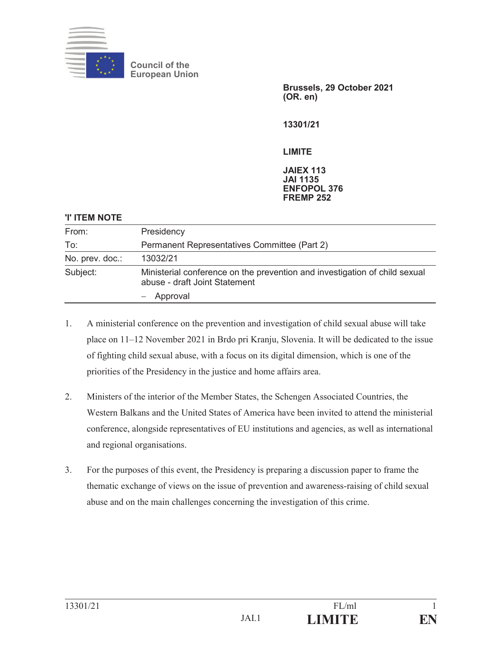

**Council of the European Union**

> **Brussels, 29 October 2021 (OR. en)**

**13301/21** 

## **LIMITE**

## **JAIEX 113 JAI 1135 ENFOPOL 376 FREMP 252**

| <b>'I' ITEM NOTE</b> |                                                                                                             |
|----------------------|-------------------------------------------------------------------------------------------------------------|
| From:                | Presidency                                                                                                  |
| To:                  | Permanent Representatives Committee (Part 2)                                                                |
| No. prev. doc.:      | 13032/21                                                                                                    |
| Subject:             | Ministerial conference on the prevention and investigation of child sexual<br>abuse - draft Joint Statement |
|                      | - Approval                                                                                                  |

- 1. A ministerial conference on the prevention and investigation of child sexual abuse will take place on 11–12 November 2021 in Brdo pri Kranju, Slovenia. It will be dedicated to the issue of fighting child sexual abuse, with a focus on its digital dimension, which is one of the priorities of the Presidency in the justice and home affairs area.
- 2. Ministers of the interior of the Member States, the Schengen Associated Countries, the Western Balkans and the United States of America have been invited to attend the ministerial conference, alongside representatives of EU institutions and agencies, as well as international and regional organisations.
- 3. For the purposes of this event, the Presidency is preparing a discussion paper to frame the thematic exchange of views on the issue of prevention and awareness-raising of child sexual abuse and on the main challenges concerning the investigation of this crime.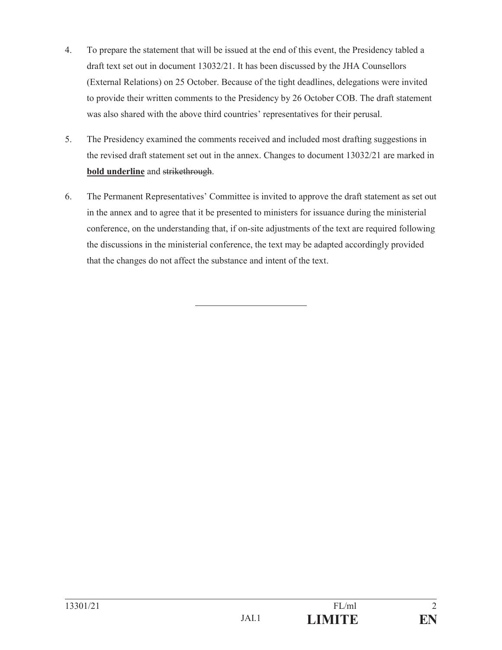- 4. To prepare the statement that will be issued at the end of this event, the Presidency tabled a draft text set out in document 13032/21. It has been discussed by the JHA Counsellors (External Relations) on 25 October. Because of the tight deadlines, delegations were invited to provide their written comments to the Presidency by 26 October COB. The draft statement was also shared with the above third countries' representatives for their perusal.
- 5. The Presidency examined the comments received and included most drafting suggestions in the revised draft statement set out in the annex. Changes to document 13032/21 are marked in **bold underline** and strikethrough.
- 6. The Permanent Representatives' Committee is invited to approve the draft statement as set out in the annex and to agree that it be presented to ministers for issuance during the ministerial conference, on the understanding that, if on-site adjustments of the text are required following the discussions in the ministerial conference, the text may be adapted accordingly provided that the changes do not affect the substance and intent of the text.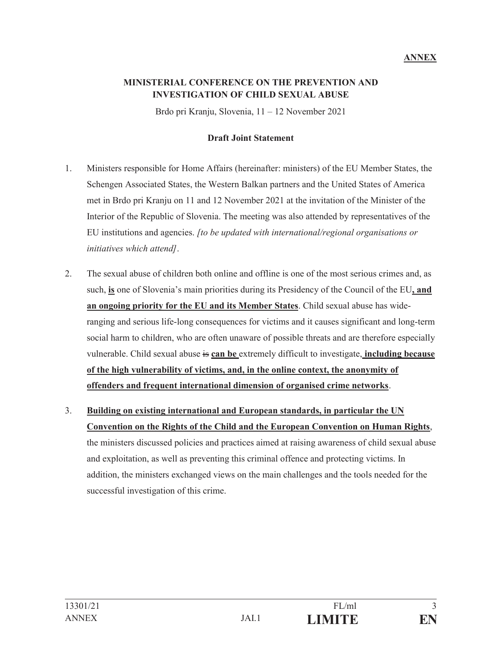## **MINISTERIAL CONFERENCE ON THE PREVENTION AND INVESTIGATION OF CHILD SEXUAL ABUSE**

Brdo pri Kranju, Slovenia, 11 – 12 November 2021

## **Draft Joint Statement**

- 1. Ministers responsible for Home Affairs (hereinafter: ministers) of the EU Member States, the Schengen Associated States, the Western Balkan partners and the United States of America met in Brdo pri Kranju on 11 and 12 November 2021 at the invitation of the Minister of the Interior of the Republic of Slovenia. The meeting was also attended by representatives of the EU institutions and agencies. *[to be updated with international/regional organisations or initiatives which attend]*.
- 2. The sexual abuse of children both online and offline is one of the most serious crimes and, as such, **is** one of Slovenia's main priorities during its Presidency of the Council of the EU**, and an ongoing priority for the EU and its Member States**. Child sexual abuse has wideranging and serious life-long consequences for victims and it causes significant and long-term social harm to children, who are often unaware of possible threats and are therefore especially vulnerable. Child sexual abuse is **can be** extremely difficult to investigate, **including because of the high vulnerability of victims, and, in the online context, the anonymity of offenders and frequent international dimension of organised crime networks**.
- 3. **Building on existing international and European standards, in particular the UN Convention on the Rights of the Child and the European Convention on Human Rights**, the ministers discussed policies and practices aimed at raising awareness of child sexual abuse and exploitation, as well as preventing this criminal offence and protecting victims. In addition, the ministers exchanged views on the main challenges and the tools needed for the successful investigation of this crime.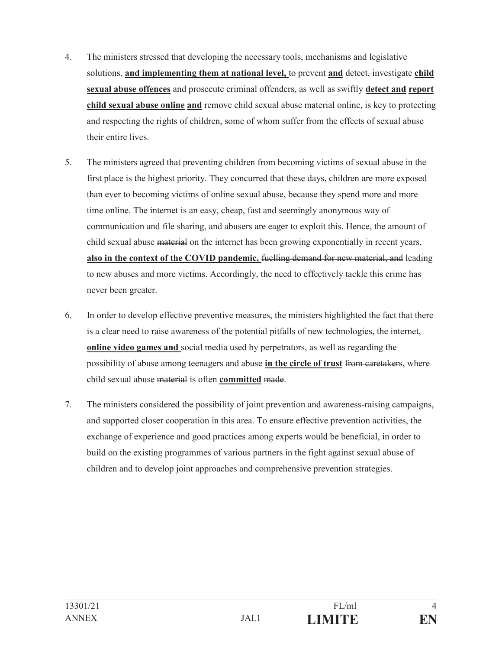- 4. The ministers stressed that developing the necessary tools, mechanisms and legislative solutions, **and implementing them at national level,** to prevent **and** detect, investigate **child <u>sexual abuse offences</u>** and prosecute criminal offenders, as well as swiftly **detect and report child sexual abuse online and** remove child sexual abuse material online, is key to protecting and respecting the rights of children, some of whom suffer from the effects of sexual abuse their entire lives.
- 5. The ministers agreed that preventing children from becoming victims of sexual abuse in the first place is the highest priority. They concurred that these days, children are more exposed than ever to becoming victims of online sexual abuse, because they spend more and more time online. The internet is an easy, cheap, fast and seemingly anonymous way of communication and file sharing, and abusers are eager to exploit this. Hence, the amount of child sexual abuse material on the internet has been growing exponentially in recent years, **also in the context of the COVID pandemic,** fuelling demand for new material, and leading to new abuses and more victims. Accordingly, the need to effectively tackle this crime has never been greater.
- 6. In order to develop effective preventive measures, the ministers highlighted the fact that there is a clear need to raise awareness of the potential pitfalls of new technologies, the internet, **online video games and** social media used by perpetrators, as well as regarding the possibility of abuse among teenagers and abuse **in the circle of trust** from caretakers, where child sexual abuse material is often **committed** made.
- 7. The ministers considered the possibility of joint prevention and awareness-raising campaigns, and supported closer cooperation in this area. To ensure effective prevention activities, the exchange of experience and good practices among experts would be beneficial, in order to build on the existing programmes of various partners in the fight against sexual abuse of children and to develop joint approaches and comprehensive prevention strategies.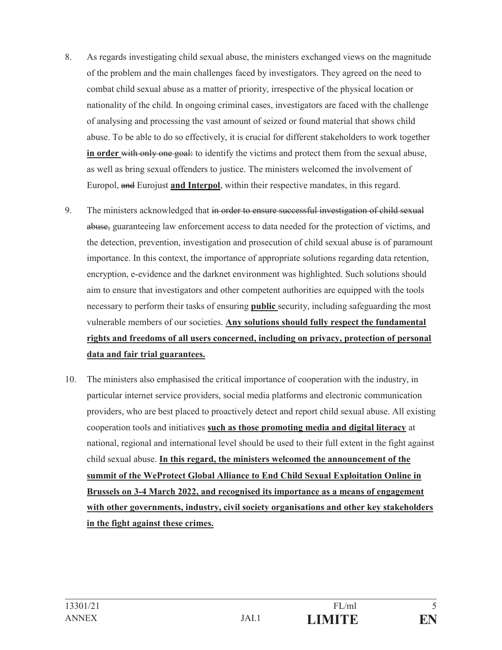- 8. As regards investigating child sexual abuse, the ministers exchanged views on the magnitude of the problem and the main challenges faced by investigators. They agreed on the need to combat child sexual abuse as a matter of priority, irrespective of the physical location or nationality of the child. In ongoing criminal cases, investigators are faced with the challenge of analysing and processing the vast amount of seized or found material that shows child abuse. To be able to do so effectively, it is crucial for different stakeholders to work together in order with only one goal: to identify the victims and protect them from the sexual abuse, as well as bring sexual offenders to justice. The ministers welcomed the involvement of Europol, and Eurojust **and Interpol**, within their respective mandates, in this regard.
- 9. The ministers acknowledged that in order to ensure successful investigation of child sexual abuse, guaranteeing law enforcement access to data needed for the protection of victims, and the detection, prevention, investigation and prosecution of child sexual abuse is of paramount importance. In this context, the importance of appropriate solutions regarding data retention, encryption, e-evidence and the darknet environment was highlighted. Such solutions should aim to ensure that investigators and other competent authorities are equipped with the tools necessary to perform their tasks of ensuring **public** security, including safeguarding the most vulnerable members of our societies. **Any solutions should fully respect the fundamental rights and freedoms of all users concerned, including on privacy, protection of personal data and fair trial guarantees.**
- 10. The ministers also emphasised the critical importance of cooperation with the industry, in particular internet service providers, social media platforms and electronic communication providers, who are best placed to proactively detect and report child sexual abuse. All existing cooperation tools and initiatives **such as those promoting media and digital literacy** at national, regional and international level should be used to their full extent in the fight against child sexual abuse. **In this regard, the ministers welcomed the announcement of the summit of the WeProtect Global Alliance to End Child Sexual Exploitation Online in Brussels on 3-4 March 2022, and recognised its importance as a means of engagement with other governments, industry, civil society organisations and other key stakeholders in the fight against these crimes.**